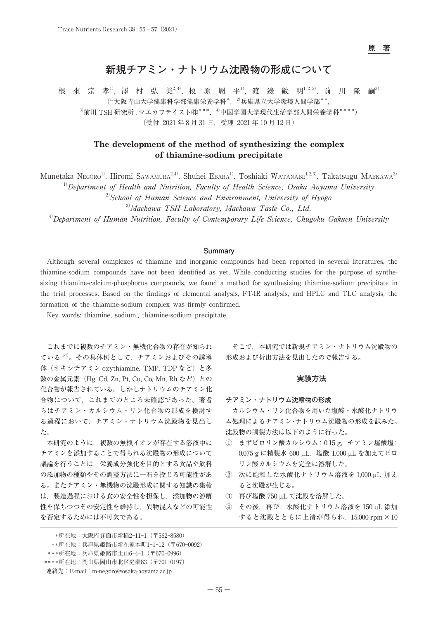**原 著**

# **新規チアミン・ナトリウム沈殿物の形成について**

根 來 宗 孝<sup>1)</sup>, 澤 村 弘 美<sup>2, 4)</sup>, 榎 原 周 平<sup>1)</sup>, 渡 邊 敏 明<sup>1, 2, 3)</sup>, 前 川 隆 嗣<sup>3)</sup>  $(1)$ 大阪青山大学健康科学部健康栄養学科\*, $2)$ 兵庫県立大学環境人間学部\*\*,  $3$ 前川 TSH 研究所, マエカワテイスト(株) \*\*\*, $40$ 中国学園大学現代生活学部人間栄養学科 \*\*\*\*) (受付 2021 年 8 月 31 日,受理 2021 年 10 月 12 日)

# **The development of the method of synthesizing the complex of thiamine-sodium precipitate**

Munetaka Negoro<sup>1)</sup>, Hiromi Sawamura<sup>2,4)</sup>, Shuhei Ebara<sup>1)</sup>, Toshiaki Watanabe<sup>1,2,3)</sup>, Takatsugu Maekawa<sup>3)</sup>

 $1)$ Department of Health and Nutrition, Faculty of Health Science, Osaka Aoyama University

 $2^{2}$ School of Human Science and Environment, University of Hyogo

3)Maekawa TSH Laboratory, Maekawa Taste Co., Ltd.

<sup>4)</sup>Department of Human Nutrition, Faculty of Contemporary Life Science, Chugoku Gakuen University

#### **Summary**

Although several complexes of thiamine and inorganic compounds had been reported in several literatures, the thiamine-sodium compounds have not been identified as yet. While conducting studies for the purpose of synthesizing thiamine-calcium-phosphorus compounds, we found a method for synthesizing thiamine-sodium precipitate in the trial processes. Based on the findings of elemental analysis, FT-IR analysis, and HPLC and TLC analysis, the formation of the thiamine-sodium complex was firmly confirmed.

Key words: thiamine, sodium,, thiamine-sodium precipitate.

これまでに複数のチアミン・無機化合物の存在が知られ ている 1-7)。その具体例として,チアミンおよびその誘導 体(オキシチアミン oxythiamine, TMP, TDP など)と多 数の金属元素 (Hg, Cd, Zn, Pt, Cu, Co, Mn, Rh など)との 化合物が報告されている。しかしナトリウムのチアミン化 合物について,これまでのところ未確認であった。著者 らはチアミン・カルシウム・リン化合物の形成を検討す る過程において,チアミン・ナトリウム沈殿物を見出し た。

本研究のように,複数の無機イオンが存在する溶液中に チアミンを添加することで得られる沈殿物の形成について 議論を行うことは,栄養成分強化を目的とする食品や飲料 の添加物の種類やその調整方法に一石を投じる可能性があ る。またチアミン・無機物の沈殿形成に関する知識の集積 は,製造過程における食の安全性を担保し,添加物の溶解 性を保ちつつその安定性を維持し,異物混入などの可能性 を否定するためには不可欠である。

#### **実験方法**

#### **チアミン・ナトリウム沈殿物の形成**

カルシウム・リン化合物を用いた塩酸・水酸化ナトリウ ム処理によるチアミン・ナトリウム沈殿物の形成を試みた。 沈殿物の調製方法は以下のように行った。

- ① まずピロリン酸カルシウム: 0.15 g,チアミン塩酸塩: 0.075 g に精製水 600 µL,塩酸 1,000 µL を加えてピロ リン酸カルシウムを完全に溶解した。
- ② 次に飽和した水酸化ナトリウム溶液を 1,000 µL 加え ると沈殿が生じる。
- ③ 再び塩酸 750 µL で沈殿を溶解した。
- ④ その後,再び,水酸化ナトリウム溶液を 150 µL 添加 すると沈殿とともに上清が得られ,15,000 rpm×10

そこで,本研究では新規チアミン・ナトリウム沈殿物の 形成および析出方法を見出したので報告する。

 <sup>\*</sup>所在地:大阪府箕面市新稲2-11-1(〒562-8580) \*\*所在地:兵庫県姫路市新在家本町1-1-12(〒670-0092) \*\*\*所在地:兵庫県姫路市土山6-4-1(〒670-0996)

 <sup>\*\*\*\*</sup>所在地:岡山県岡山市北区庭瀬83(〒701-0197)

連絡先:E-mail:m-negoro@osaka-aoyama.ac.jp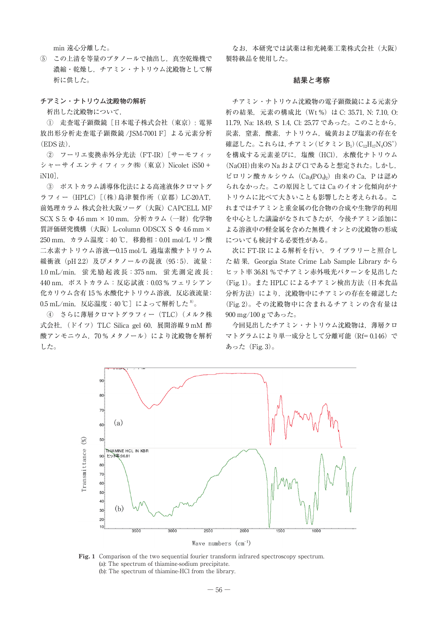min 遠心分離した。

⑤ この上清を等量のブタノールで抽出し,真空乾燥機で 濃縮・乾燥し,チアミン・ナトリウム沈殿物として解 析に供した。

**チアミン・ナトリウム沈殿物の解析**

析出した沈殿物について,

① 走査電子顕微鏡[日本電子株式会社(東京): 電界 放出形分析走査電子顕微鏡 /JSM-7001 F] よる元素分析 (EDS 法),

② フーリエ変換赤外分光法(FT-IR)[サーモフィッ シャーサイエンティフィック㈱(東京) Nicolet iS50+ iN10],

③ ポストカラム誘導体化法による高速液体クロマトグ ラフィー(HPLC)[(株)島津製作所(京都) LC-20AT, 前処理カラム 株式会社大阪ソーダ(大阪)CAPCELL MF SCX S 5: Φ 4.6 mm × 10 mm, 分析カラム (一財) 化学物 質評価研究機構(大阪)L-column ODSCX S Φ 4.6 mm× 250 mm,カラム温度;40 ℃,移動相:0.01 mol/L リン酸 二水素ナトリウム溶液―0.15 mol/L 過塩素酸ナトリウム 緩衝液 (pH 2.2) 及びメタノールの混液 (95:5). 流量: 1.0 mL/min, 蛍 光 励 起 波 長:375 nm, 蛍 光 測 定 波 長 : 440 nm,ポストカラム:反応試液:0.03 % フェリシアン 化カリウム含有 15 % 水酸化ナトリウム溶液,反応液流量:  $0.5$  mL/min, 反応温度; 40 ℃]によって解析した $8$ 。

④ さらに薄層クロマトグラフィー(TLC)(メルク株 式会社, (ドイツ) TLC Silica gel 60, 展開溶媒 9 mM 酢 酸アンモニウム,70% メタノール)により沈殿物を解析 した。

なお、本研究では試薬は和光純薬工業株式会社(大阪) 製特級品を使用した。

#### **結果と考察**

チアミン・ナトリウム沈殿物の電子顕微鏡による元素分 析の結果,元素の構成比 (Wt%) は C: 35.71, N: 7.10, O: 11.79, Na: 18.49, S 1.4, Cl: 25.77 であった。このことから, 炭素,窒素,酸素,ナトリウム,硫黄および塩素の存在を 確認した。これらは, チアミン(ビタミン B1) ( $\rm C_{12}H_{17}N_4OS^+$ ) を構成する元素並びに、塩酸(HCl), 水酸化ナトリウム (NaOH)由来の Na および Cl であると想定された。しかし, ピロリン酸カルシウム  $(Ca_3(PO_4)_2)$ 由来の  $Ca$ , P は認め られなかった。この原因としては Ca のイオン化傾向がナ トリウムに比べて大きいことも影響したと考えられる。こ れまではチアミンと重金属の化合物の合成や生物学的利用 を中心とした議論がなされてきたが,今後チアミン添加に よる溶液中の軽金属を含めた無機イオンとの沈殿物の形成 についても検討する必要性がある。

次に FT-IR による解析を行い、ライブラリーと照合し た結果, Georgia State Crime Lab Sample Library から ヒット率 36.81 %でチアミン赤外吸光パターンを見出した (Fig. 1)。また HPLC によるチアミン検出方法(日本食品 分析方法)により、沈殿物中にチアミンの存在を確認した (Fig. 2)。その沈殿物中に含まれるチアミンの含有量は 900 mg/100 g であった。

今回見出したチアミン・ナトリウム沈殿物は,薄層クロ マトグラムにより単一成分として分離可能 (Rf= 0.146)で あった $(Fig. 3)$ 。



**Fig. 1** Comparison of the two sequential fourier transform infrared spectroscopy spectrum. (a): The spectrum of thiamine-sodium precipitate. (b): The spectrum of thiamine-HCl from the library.